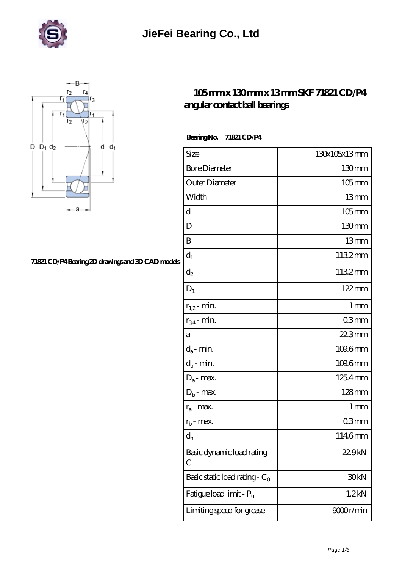



## **[71821 CD/P4 Bearing 2D drawings and 3D CAD models](https://m.asociacionhotelesvallarta.com/pic-14747.html)**

## **[105 mm x 130 mm x 13 mm SKF 71821 CD/P4](https://m.asociacionhotelesvallarta.com/aw-14747-skf-71821-cd-p4-angular-contact-ball-bearings.html) [angular contact ball bearings](https://m.asociacionhotelesvallarta.com/aw-14747-skf-71821-cd-p4-angular-contact-ball-bearings.html)**

 **Bearing No. 71821 CD/P4**

| Size                             | 130x105x13mm        |
|----------------------------------|---------------------|
| <b>Bore Diameter</b>             | 130mm               |
| Outer Diameter                   | $105$ mm            |
| Width                            | 13mm                |
| d                                | $105$ mm            |
| D                                | 130 <sub>mm</sub>   |
| B                                | 13mm                |
| $d_1$                            | 1132mm              |
| $\mathrm{d}_2$                   | 1132mm              |
| $D_1$                            | $122 \,\mathrm{mm}$ |
| $r_{1,2}$ - min.                 | $1 \,\mathrm{mm}$   |
| $r_{34}$ - min.                  | 03mm                |
| а                                | 22.3mm              |
| $d_a$ - min.                     | $1096$ mm           |
| $d_b$ - min.                     | 109.6mm             |
| $D_a$ - max.                     | 125.4mm             |
| $D_b$ - max.                     | $128$ mm            |
| $r_a$ - max.                     | 1 mm                |
| $r_{b}$ - max.                   | 03mm                |
| $d_{n}$                          | 1146mm              |
| Basic dynamic load rating-<br>С  | 22.9kN              |
| Basic static load rating - $C_0$ | 30 <sub>kN</sub>    |
| Fatigue load limit - Pu          | 1.2 <sub>kN</sub>   |
| Limiting speed for grease        | 9000r/min           |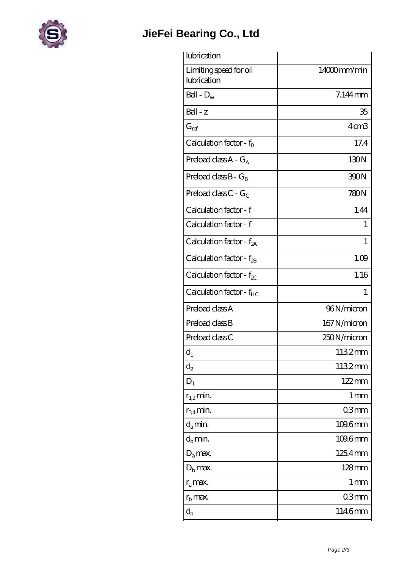

## **[JieFei Bearing Co., Ltd](https://m.asociacionhotelesvallarta.com)**

| lubrication                           |                   |
|---------------------------------------|-------------------|
| Limiting speed for oil<br>lubrication | 14000mm/min       |
| Ball - $D_w$                          | 7.144mm           |
| Ball - z                              | 35                |
| $G_{ref}$                             | 4cm <sub>3</sub>  |
| Calculation factor - $f_0$            | 17.4              |
| Preload class $A - G_A$               | 130N              |
| Preload class $B - G_R$               | 390N              |
| Preload class C - $G_C$               | 780N              |
| Calculation factor - f                | 1.44              |
| Calculation factor - f                | 1                 |
| Calculation factor - $f_{2A}$         | 1                 |
| Calculation factor - $f_{\rm 2B}$     | 1.09              |
| Calculation factor - $f_{\chi}$       | 1.16              |
| Calculation factor - f <sub>HC</sub>  | 1                 |
| Preload class A                       | 96N/micron        |
| Preload class B                       | 167 N/micron      |
| Preload class C                       | 250N/micron       |
| $d_1$                                 | 1132mm            |
| $d_2$                                 | 1132mm            |
| $D_1$                                 | $122 \text{mm}$   |
| $r_{1,2}$ min.                        | $1 \,\mathrm{mm}$ |
| $r_{34}$ min.                         | 03mm              |
| $d_a$ min.                            | 109.6mm           |
| $d_h$ min.                            | 109.6mm           |
| $D_a$ max.                            | 125.4mm           |
| $D_{\rm b}$ max.                      | $128$ mm          |
| $r_a$ max.                            | 1 <sub>mm</sub>   |
| $r_{\rm b}$ max.                      | 03mm              |
|                                       |                   |